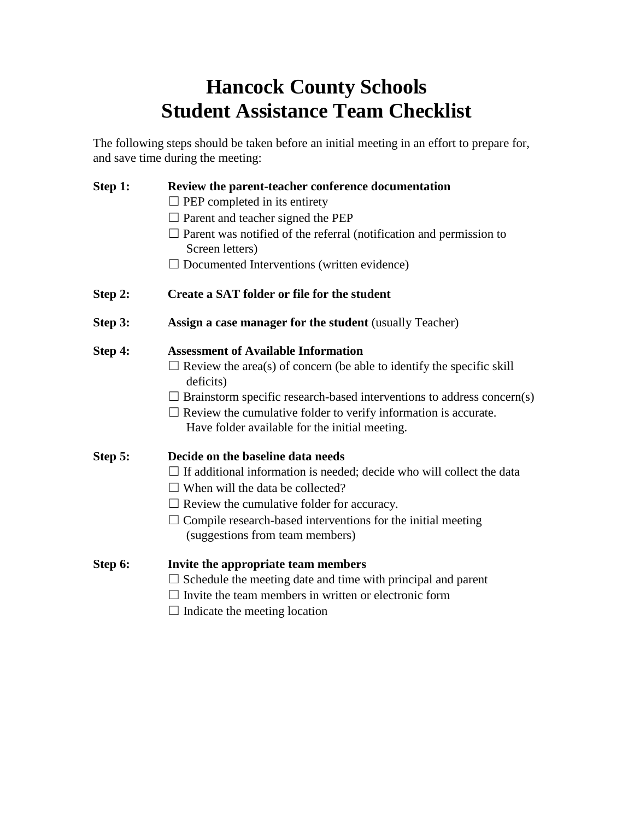## **Hancock County Schools Student Assistance Team Checklist**

The following steps should be taken before an initial meeting in an effort to prepare for, and save time during the meeting:

| Step 1: | Review the parent-teacher conference documentation                                                                       |
|---------|--------------------------------------------------------------------------------------------------------------------------|
|         | $\Box$ PEP completed in its entirety                                                                                     |
|         | $\Box$ Parent and teacher signed the PEP                                                                                 |
|         | $\Box$ Parent was notified of the referral (notification and permission to<br>Screen letters)                            |
|         | $\Box$ Documented Interventions (written evidence)                                                                       |
| Step 2: | Create a SAT folder or file for the student                                                                              |
| Step 3: | <b>Assign a case manager for the student (usually Teacher)</b>                                                           |
| Step 4: | <b>Assessment of Available Information</b>                                                                               |
|         | $\Box$ Review the area(s) of concern (be able to identify the specific skill<br>deficits)                                |
|         | Brainstorm specific research-based interventions to address concern(s)                                                   |
|         | $\Box$ Review the cumulative folder to verify information is accurate.<br>Have folder available for the initial meeting. |
| Step 5: | Decide on the baseline data needs                                                                                        |
|         | $\Box$ If additional information is needed; decide who will collect the data                                             |
|         | $\Box$ When will the data be collected?                                                                                  |
|         | $\Box$ Review the cumulative folder for accuracy.                                                                        |
|         | $\Box$ Compile research-based interventions for the initial meeting                                                      |
|         | (suggestions from team members)                                                                                          |
| Step 6: | Invite the appropriate team members                                                                                      |
|         | $\Box$ Schedule the meeting date and time with principal and parent                                                      |
|         | $\Box$ Invite the team members in written or electronic form                                                             |
|         |                                                                                                                          |

 $\Box$  Indicate the meeting location